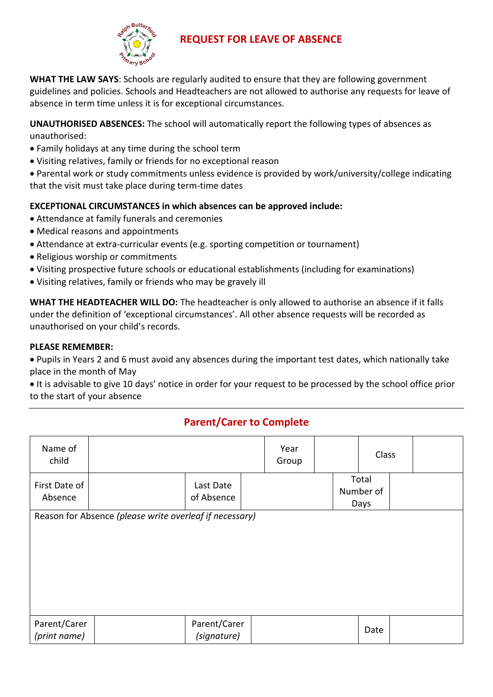

## **REQUEST FOR LEAVE OF ABSENCE**

**WHAT THE LAW SAYS**: Schools are regularly audited to ensure that they are following government guidelines and policies. Schools and Headteachers are not allowed to authorise any requests for leave of absence in term time unless it is for exceptional circumstances.

**UNAUTHORISED ABSENCES:** The school will automatically report the following types of absences as unauthorised:

- Family holidays at any time during the school term
- Visiting relatives, family or friends for no exceptional reason

 Parental work or study commitments unless evidence is provided by work/university/college indicating that the visit must take place during term-time dates

### **EXCEPTIONAL CIRCUMSTANCES in which absences can be approved include:**

- Attendance at family funerals and ceremonies
- Medical reasons and appointments
- Attendance at extra-curricular events (e.g. sporting competition or tournament)
- Religious worship or commitments
- Visiting prospective future schools or educational establishments (including for examinations)
- Visiting relatives, family or friends who may be gravely ill

**WHAT THE HEADTEACHER WILL DO:** The headteacher is only allowed to authorise an absence if it falls under the definition of 'exceptional circumstances'. All other absence requests will be recorded as unauthorised on your child's records.

#### **PLEASE REMEMBER:**

 Pupils in Years 2 and 6 must avoid any absences during the important test dates, which nationally take place in the month of May

 It is advisable to give 10 days' notice in order for your request to be processed by the school office prior to the start of your absence

## **Parent/Carer to Complete**

| Name of<br>child             |                                                         |                             | Year<br>Group | Class                      |  |
|------------------------------|---------------------------------------------------------|-----------------------------|---------------|----------------------------|--|
| First Date of<br>Absence     |                                                         | Last Date<br>of Absence     |               | Total<br>Number of<br>Days |  |
|                              | Reason for Absence (please write overleaf if necessary) |                             |               |                            |  |
| Parent/Carer<br>(print name) |                                                         | Parent/Carer<br>(signature) |               | Date                       |  |